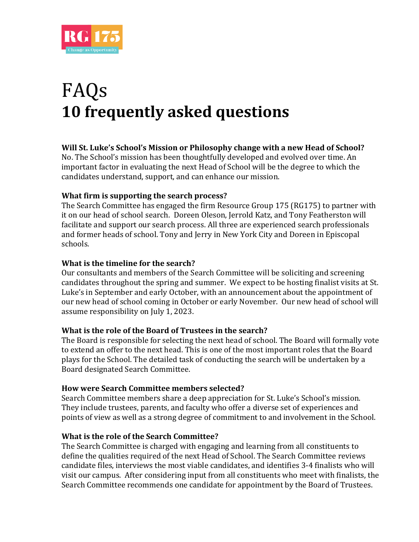

# FAQs **10 frequently asked questions**

## **Will St. Luke's School's Mission or Philosophy change with a new Head of School?**

No. The School's mission has been thoughtfully developed and evolved over time. An important factor in evaluating the next Head of School will be the degree to which the candidates understand, support, and can enhance our mission.

## **What firm is supporting the search process?**

The Search Committee has engaged the firm Resource Group 175 (RG175) to partner with it on our head of school search. Doreen Oleson, Jerrold Katz, and Tony Featherston will facilitate and support our search process. All three are experienced search professionals and former heads of school. Tony and Jerry in New York City and Doreen in Episcopal schools.

## **What is the timeline for the search?**

Our consultants and members of the Search Committee will be soliciting and screening candidates throughout the spring and summer. We expect to be hosting finalist visits at St. Luke's in September and early October, with an announcement about the appointment of our new head of school coming in October or early November. Our new head of school will assume responsibility on July 1, 2023.

### **What is the role of the Board of Trustees in the search?**

The Board is responsible for selecting the next head of school. The Board will formally vote to extend an offer to the next head. This is one of the most important roles that the Board plays for the School. The detailed task of conducting the search will be undertaken by a Board designated Search Committee.

### **How were Search Committee members selected?**

Search Committee members share a deep appreciation for St. Luke's School's mission. They include trustees, parents, and faculty who offer a diverse set of experiences and points of view as well as a strong degree of commitment to and involvement in the School.

### **What is the role of the Search Committee?**

The Search Committee is charged with engaging and learning from all constituents to define the qualities required of the next Head of School. The Search Committee reviews candidate files, interviews the most viable candidates, and identifies 3-4 finalists who will visit our campus. After considering input from all constituents who meet with finalists, the Search Committee recommends one candidate for appointment by the Board of Trustees.